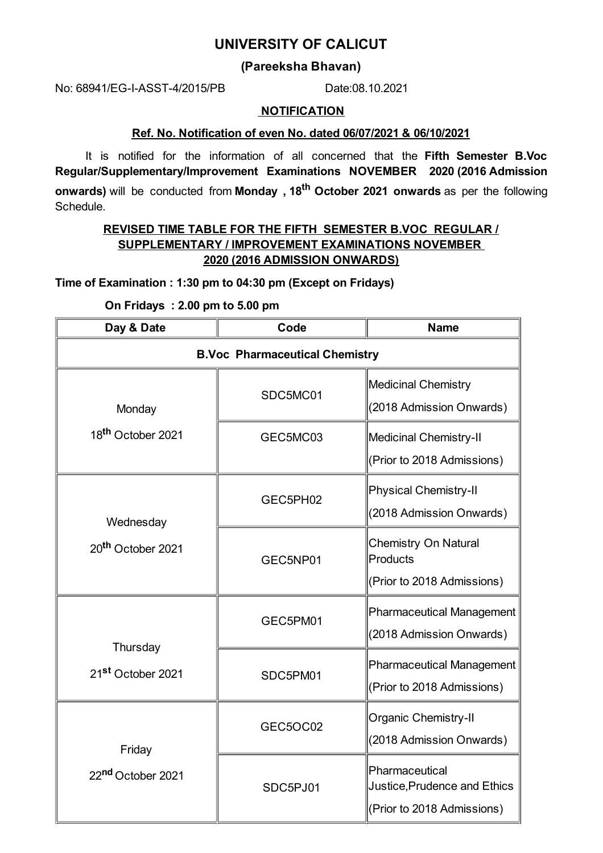# **UNIVERSITY OF CALICUT**

# **(Pareeksha Bhavan)**

No: 68941/EG-I-ASST-4/2015/PB Date:08.10.2021

#### **NOTIFICATION**

### **Ref. No. Notification of even No. dated 06/07/2021 & 06/10/2021**

It is notified for the information of all concerned that the **Fifth Semester B.Voc Regular/Supplementary/Improvement Examinations NOVEMBER 2020 (2016 Admission onwards)** will be conducted from **Monday , 18 th October 2021 onwards** as per the following Schedule.

# **REVISED TIME TABLE FOR THE FIFTH SEMESTER B.VOC REGULAR / SUPPLEMENTARY / IMPROVEMENT EXAMINATIONS NOVEMBER 2020 (2016 ADMISSION ONWARDS)**

**Time of Examination : 1:30 pm to 04:30 pm (Except on Fridays)**

**On Fridays : 2.00 pm to 5.00 pm**

| Day & Date                                 | Code                                  | <b>Name</b>                                                                  |
|--------------------------------------------|---------------------------------------|------------------------------------------------------------------------------|
|                                            | <b>B.Voc Pharmaceutical Chemistry</b> |                                                                              |
| Monday                                     | SDC5MC01                              | <b>Medicinal Chemistry</b><br>(2018 Admission Onwards)                       |
| 18 <sup>th</sup> October 2021              | GEC5MC03                              | Medicinal Chemistry-II<br>(Prior to 2018 Admissions)                         |
| Wednesday<br>20 <sup>th</sup> October 2021 | GEC5PH02                              | <b>Physical Chemistry-II</b><br>(2018 Admission Onwards)                     |
|                                            | GEC5NP01                              | <b>Chemistry On Natural</b><br>Products<br>(Prior to 2018 Admissions)        |
| Thursday                                   | GEC5PM01                              | Pharmaceutical Management<br>(2018 Admission Onwards)                        |
| 21 <sup>st</sup> October 2021              | SDC5PM01                              | Pharmaceutical Management<br>(Prior to 2018 Admissions)                      |
| Friday<br>22nd October 2021                | GEC5OC02                              | Organic Chemistry-II<br>(2018 Admission Onwards)                             |
|                                            | SDC5PJ01                              | Pharmaceutical<br>Justice, Prudence and Ethics<br>(Prior to 2018 Admissions) |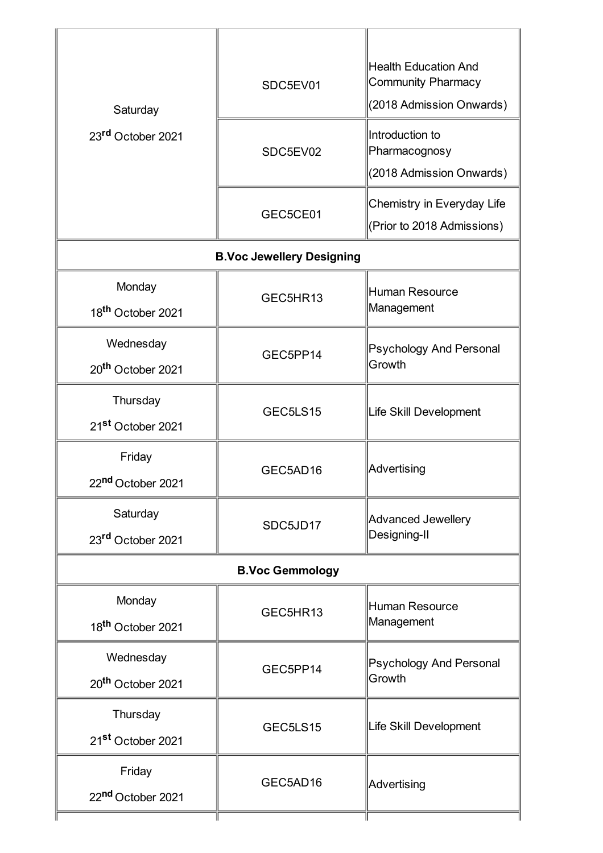| Saturday<br>23rd October 2021              | SDC5EV01<br>SDC5EV02             | <b>Health Education And</b><br><b>Community Pharmacy</b><br>(2018 Admission Onwards)<br>Introduction to<br>Pharmacognosy |  |
|--------------------------------------------|----------------------------------|--------------------------------------------------------------------------------------------------------------------------|--|
|                                            | GEC5CE01                         | (2018 Admission Onwards)<br>Chemistry in Everyday Life<br>(Prior to 2018 Admissions)                                     |  |
|                                            | <b>B.Voc Jewellery Designing</b> |                                                                                                                          |  |
| Monday<br>18 <sup>th</sup> October 2021    | GEC5HR13                         | Human Resource<br>Management                                                                                             |  |
| Wednesday<br>20 <sup>th</sup> October 2021 | GEC5PP14                         | Psychology And Personal<br>Growth                                                                                        |  |
| Thursday<br>21 <sup>st</sup> October 2021  | GEC5LS15                         | Life Skill Development                                                                                                   |  |
| Friday<br>22 <sup>nd</sup> October 2021    | GEC5AD16                         | Advertising                                                                                                              |  |
| Saturday<br>23rd October 2021              | SDC5JD17                         | Advanced Jewellery<br>Designing-II                                                                                       |  |
| <b>B.Voc Gemmology</b>                     |                                  |                                                                                                                          |  |
| Monday<br>18 <sup>th</sup> October 2021    | GEC5HR13                         | Human Resource<br>Management                                                                                             |  |
| Wednesday<br>20 <sup>th</sup> October 2021 | GEC5PP14                         | Psychology And Personal<br>Growth                                                                                        |  |
| Thursday<br>21 <sup>st</sup> October 2021  | GEC5LS15                         | Life Skill Development                                                                                                   |  |
| Friday<br>22nd October 2021                | GEC5AD16                         | Advertising                                                                                                              |  |
|                                            |                                  |                                                                                                                          |  |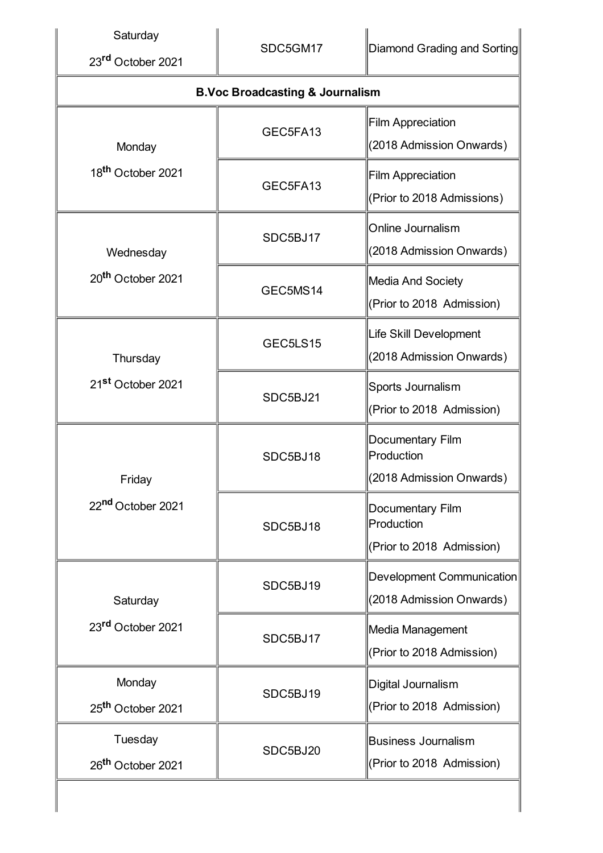| Saturday<br>23rd October 2021             | SDC5GM17                                   | <b>Diamond Grading and Sorting</b>                           |
|-------------------------------------------|--------------------------------------------|--------------------------------------------------------------|
|                                           | <b>B.Voc Broadcasting &amp; Journalism</b> |                                                              |
| Monday<br>18 <sup>th</sup> October 2021   | GEC5FA13                                   | <b>Film Appreciation</b><br>(2018 Admission Onwards)         |
|                                           | GEC5FA13                                   | <b>Film Appreciation</b><br>(Prior to 2018 Admissions)       |
| Wednesday                                 | SDC5BJ17                                   | Online Journalism<br>(2018 Admission Onwards)                |
| 20 <sup>th</sup> October 2021             | GEC5MS14                                   | Media And Society<br>(Prior to 2018 Admission)               |
| Thursday<br>21 <sup>st</sup> October 2021 | GEC5LS15                                   | Life Skill Development<br>(2018 Admission Onwards)           |
|                                           | SDC5BJ21                                   | Sports Journalism<br>(Prior to 2018 Admission)               |
| Friday<br>22nd October 2021               | SDC5BJ18                                   | Documentary Film<br>Production<br>(2018 Admission Onwards)   |
|                                           | SDC5BJ18                                   | Documentary Film<br>Production<br>(Prior to 2018 Admission)  |
| Saturday<br>23rd October 2021             | SDC5BJ19                                   | <b>Development Communication</b><br>(2018 Admission Onwards) |
|                                           | SDC5BJ17                                   | Media Management<br>(Prior to 2018 Admission)                |
| Monday<br>25 <sup>th</sup> October 2021   | SDC5BJ19                                   | Digital Journalism<br>(Prior to 2018 Admission)              |
| Tuesday<br>26 <sup>th</sup> October 2021  | SDC5BJ20                                   | <b>Business Journalism</b><br>(Prior to 2018 Admission)      |
|                                           |                                            |                                                              |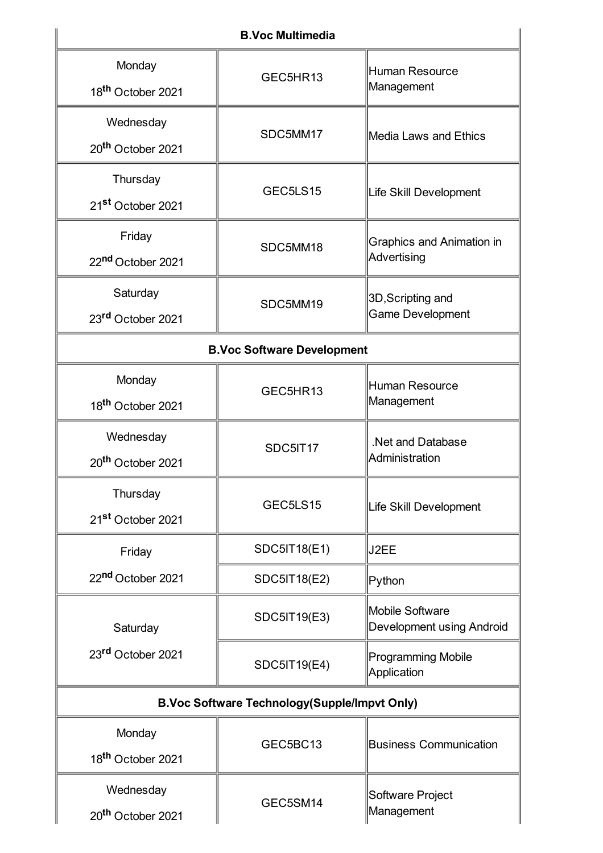| <b>B.Voc Multimedia</b>                             |                                   |                                                     |  |  |  |
|-----------------------------------------------------|-----------------------------------|-----------------------------------------------------|--|--|--|
| Monday<br>18 <sup>th</sup> October 2021             | GEC5HR13                          | Human Resource<br>Management                        |  |  |  |
| Wednesday<br>20 <sup>th</sup> October 2021          | SDC5MM17                          | Media Laws and Ethics                               |  |  |  |
| Thursday<br>21 <sup>st</sup> October 2021           | GEC5LS15                          | Life Skill Development                              |  |  |  |
| Friday<br>22nd October 2021                         | SDC5MM18                          | <b>Graphics and Animation in</b><br>Advertising     |  |  |  |
| Saturday<br>23rd October 2021                       | SDC5MM19                          | 3D, Scripting and<br><b>Game Development</b>        |  |  |  |
|                                                     | <b>B.Voc Software Development</b> |                                                     |  |  |  |
| Monday<br>18 <sup>th</sup> October 2021             | GEC5HR13                          | Human Resource<br>Management                        |  |  |  |
| Wednesday<br>20 <sup>th</sup> October 2021          | SDC5IT17                          | .Net and Database<br>Administration                 |  |  |  |
| Thursday<br>21 <sup>st</sup> October 2021           | GEC5LS15                          | Life Skill Development                              |  |  |  |
| Friday                                              | <b>SDC5IT18(E1)</b>               | J2EE                                                |  |  |  |
| 22nd October 2021                                   | SDC5IT18(E2)                      | Python                                              |  |  |  |
| Saturday<br>23rd October 2021                       | SDC5IT19(E3)                      | Mobile Software<br><b>Development using Android</b> |  |  |  |
|                                                     | <b>SDC5IT19(E4)</b>               | <b>Programming Mobile</b><br>Application            |  |  |  |
| <b>B.Voc Software Technology(Supple/Impvt Only)</b> |                                   |                                                     |  |  |  |
| Monday<br>18 <sup>th</sup> October 2021             | GEC5BC13                          | <b>Business Communication</b>                       |  |  |  |
| Wednesday<br>20 <sup>th</sup> October 2021          | GEC5SM14                          | Software Project<br>Management                      |  |  |  |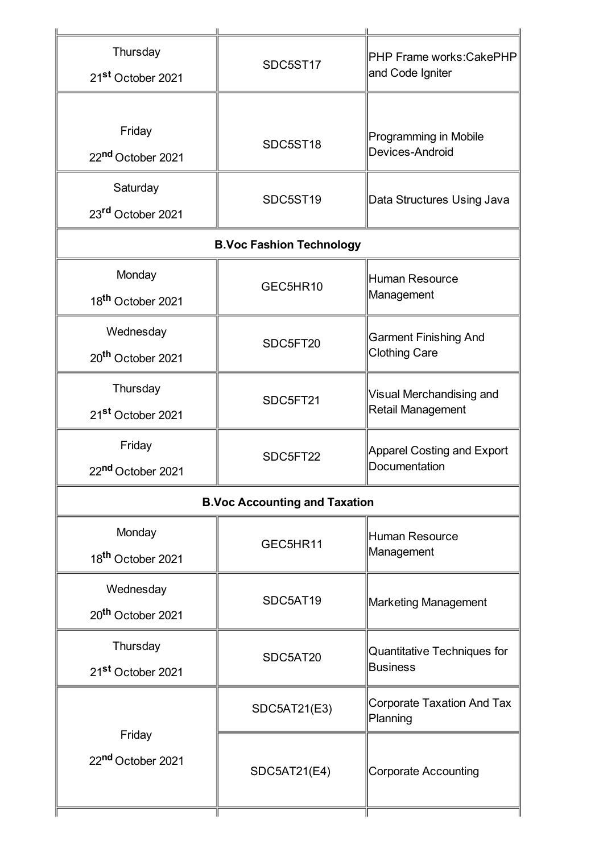| Thursday<br>21 <sup>st</sup> October 2021  | SDC5ST17                             | <b>PHP Frame works: CakePHP</b><br>and Code Igniter  |
|--------------------------------------------|--------------------------------------|------------------------------------------------------|
| Friday<br>22nd October 2021                | SDC5ST18                             | <b>Programming in Mobile</b><br>Devices-Android      |
| Saturday<br>23rd October 2021              | SDC5ST19                             | Data Structures Using Java                           |
|                                            | <b>B.Voc Fashion Technology</b>      |                                                      |
| Monday<br>18 <sup>th</sup> October 2021    | GEC5HR10                             | Human Resource<br>Management                         |
| Wednesday<br>20 <sup>th</sup> October 2021 | SDC5FT20                             | <b>Garment Finishing And</b><br><b>Clothing Care</b> |
| Thursday<br>21 <sup>st</sup> October 2021  | SDC5FT21                             | Visual Merchandising and<br>Retail Management        |
| Friday<br>22 <sup>nd</sup> October 2021    | SDC5FT22                             | Apparel Costing and Export<br>Documentation          |
|                                            | <b>B.Voc Accounting and Taxation</b> |                                                      |
| Monday<br>18 <sup>th</sup> October 2021    | GEC5HR11                             | Human Resource<br>Management                         |
| Wednesday<br>20 <sup>th</sup> October 2021 | SDC5AT19                             | <b>Marketing Management</b>                          |
| Thursday<br>21st October 2021              | SDC5AT20                             | Quantitative Techniques for<br><b>Business</b>       |
| Friday                                     | SDC5AT21(E3)                         | Corporate Taxation And Tax<br>Planning               |
| 22nd October 2021                          | SDC5AT21(E4)                         | <b>Corporate Accounting</b>                          |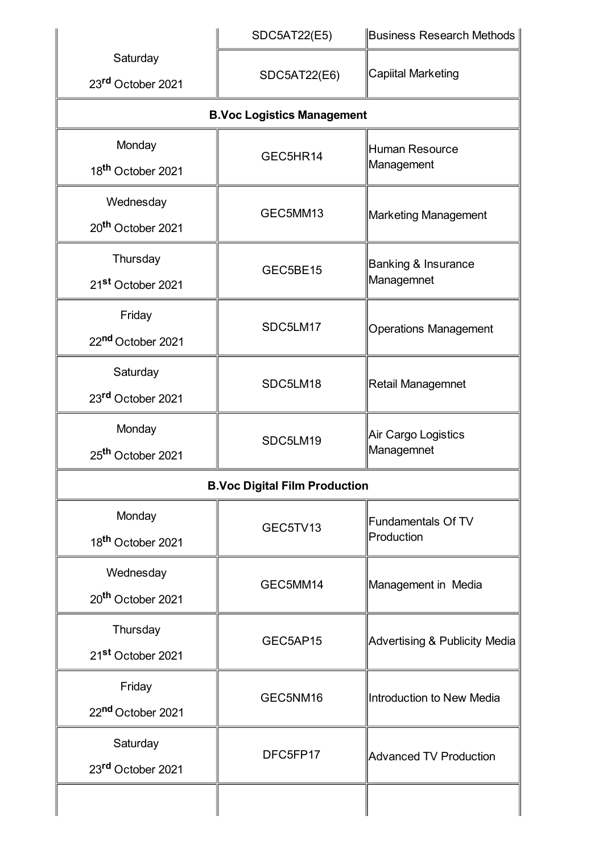|                               | <b>SDC5AT22(E5)</b>                  | <b>Business Research Methods</b>         |
|-------------------------------|--------------------------------------|------------------------------------------|
| Saturday<br>23rd October 2021 | <b>SDC5AT22(E6)</b>                  | <b>Capiital Marketing</b>                |
|                               | <b>B.Voc Logistics Management</b>    |                                          |
| Monday                        | GEC5HR14                             | <b>Human Resource</b>                    |
| 18 <sup>th</sup> October 2021 |                                      | Management                               |
| Wednesday                     | GEC5MM13                             | <b>Marketing Management</b>              |
| 20 <sup>th</sup> October 2021 |                                      |                                          |
| Thursday                      | GEC5BE15                             | Banking & Insurance                      |
| 21 <sup>st</sup> October 2021 |                                      | Managemnet                               |
| Friday                        | SDC5LM17                             |                                          |
| 22nd October 2021             |                                      | <b>Operations Management</b>             |
| Saturday                      | SDC5LM18                             | Retail Managemnet                        |
| 23rd October 2021             |                                      |                                          |
| Monday                        | SDC5LM19                             | Air Cargo Logistics                      |
| 25 <sup>th</sup> October 2021 |                                      | Managemnet                               |
|                               | <b>B.Voc Digital Film Production</b> |                                          |
| Monday                        | GEC5TV13                             | <b>Fundamentals Of TV</b>                |
| 18 <sup>th</sup> October 2021 |                                      | Production                               |
| Wednesday                     | GEC5MM14                             | Management in Media                      |
| 20 <sup>th</sup> October 2021 |                                      |                                          |
| Thursday                      | GEC5AP15                             | <b>Advertising &amp; Publicity Media</b> |
| 21st October 2021             |                                      |                                          |
| Friday                        | GEC5NM16                             | Introduction to New Media                |
| 22nd October 2021             |                                      |                                          |
| Saturday                      | DFC5FP17                             | <b>Advanced TV Production</b>            |
| 23rd October 2021             |                                      |                                          |
|                               |                                      |                                          |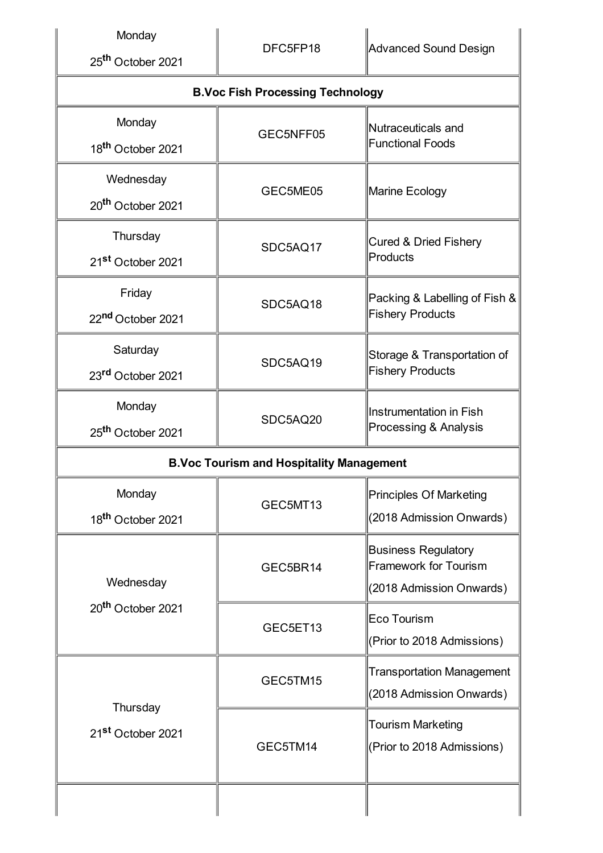| Monday<br>25 <sup>th</sup> October 2021         | DFC5FP18                                | Advanced Sound Design                                                                  |  |
|-------------------------------------------------|-----------------------------------------|----------------------------------------------------------------------------------------|--|
|                                                 | <b>B.Voc Fish Processing Technology</b> |                                                                                        |  |
| Monday<br>18 <sup>th</sup> October 2021         | GEC5NFF05                               | Nutraceuticals and<br><b>Functional Foods</b>                                          |  |
| Wednesday<br>20 <sup>th</sup> October 2021      | GEC5ME05                                | Marine Ecology                                                                         |  |
| Thursday<br>21 <sup>st</sup> October 2021       | SDC5AQ17                                | <b>Cured &amp; Dried Fishery</b><br>Products                                           |  |
| Friday<br>22nd October 2021                     | SDC5AQ18                                | Packing & Labelling of Fish &<br>Fishery Products                                      |  |
| Saturday<br>23rd October 2021                   | SDC5AQ19                                | Storage & Transportation of<br><b>Fishery Products</b>                                 |  |
| Monday<br>25 <sup>th</sup> October 2021         | SDC5AQ20                                | Instrumentation in Fish<br>Processing & Analysis                                       |  |
| <b>B.Voc Tourism and Hospitality Management</b> |                                         |                                                                                        |  |
| Monday<br>18 <sup>th</sup> October 2021         | GEC5MT13                                | Principles Of Marketing<br>(2018 Admission Onwards)                                    |  |
| Wednesday<br>20 <sup>th</sup> October 2021      | GEC5BR14                                | <b>Business Regulatory</b><br><b>Framework for Tourism</b><br>(2018 Admission Onwards) |  |
|                                                 | GEC5ET13                                | Eco Tourism<br>(Prior to 2018 Admissions)                                              |  |
| Thursday<br>21 <sup>st</sup> October 2021       | GEC5TM15                                | <b>Transportation Management</b><br>(2018 Admission Onwards)                           |  |
|                                                 | GEC5TM14                                | <b>Tourism Marketing</b><br>(Prior to 2018 Admissions)                                 |  |
|                                                 |                                         |                                                                                        |  |